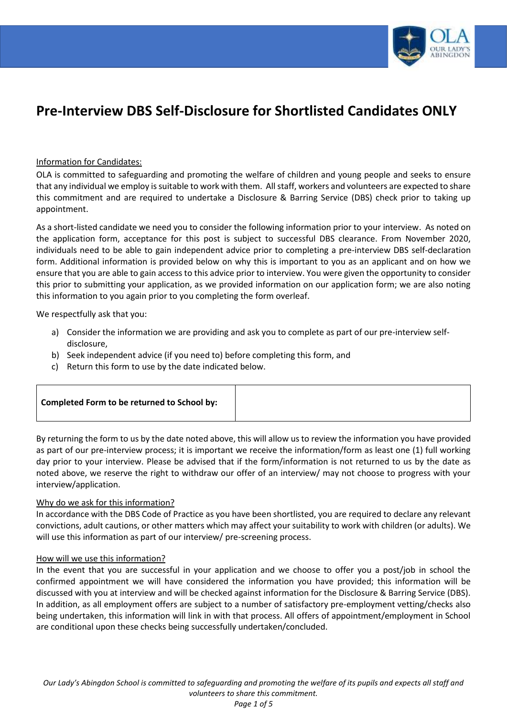

# **Pre-Interview DBS Self-Disclosure for Shortlisted Candidates ONLY**

### Information for Candidates:

OLA is committed to safeguarding and promoting the welfare of children and young people and seeks to ensure that any individual we employ is suitable to work with them. All staff, workers and volunteers are expected to share this commitment and are required to undertake a Disclosure & Barring Service (DBS) check prior to taking up appointment.

As a short-listed candidate we need you to consider the following information prior to your interview. As noted on the application form, acceptance for this post is subject to successful DBS clearance. From November 2020, individuals need to be able to gain independent advice prior to completing a pre-interview DBS self-declaration form. Additional information is provided below on why this is important to you as an applicant and on how we ensure that you are able to gain access to this advice prior to interview. You were given the opportunity to consider this prior to submitting your application, as we provided information on our application form; we are also noting this information to you again prior to you completing the form overleaf.

We respectfully ask that you:

- a) Consider the information we are providing and ask you to complete as part of our pre-interview selfdisclosure,
- b) Seek independent advice (if you need to) before completing this form, and
- c) Return this form to use by the date indicated below.

| Completed Form to be returned to School by: |  |
|---------------------------------------------|--|
|                                             |  |

By returning the form to us by the date noted above, this will allow us to review the information you have provided as part of our pre-interview process; it is important we receive the information/form as least one (1) full working day prior to your interview. Please be advised that if the form/information is not returned to us by the date as noted above, we reserve the right to withdraw our offer of an interview/ may not choose to progress with your interview/application.

### Why do we ask for this information?

In accordance with the DBS Code of Practice as you have been shortlisted, you are required to declare any relevant convictions, adult cautions, or other matters which may affect your suitability to work with children (or adults). We will use this information as part of our interview/ pre-screening process.

### How will we use this information?

In the event that you are successful in your application and we choose to offer you a post/job in school the confirmed appointment we will have considered the information you have provided; this information will be discussed with you at interview and will be checked against information for the Disclosure & Barring Service (DBS). In addition, as all employment offers are subject to a number of satisfactory pre-employment vetting/checks also being undertaken, this information will link in with that process. All offers of appointment/employment in School are conditional upon these checks being successfully undertaken/concluded.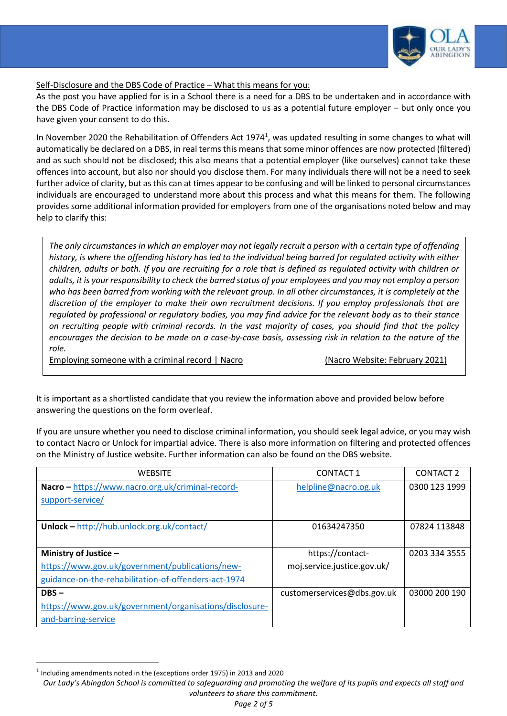

## Self-Disclosure and the DBS Code of Practice – What this means for you:

As the post you have applied for is in a School there is a need for a DBS to be undertaken and in accordance with the DBS Code of Practice information may be disclosed to us as a potential future employer – but only once you have given your consent to do this.

In November 2020 the Rehabilitation of Offenders Act 1974<sup>1</sup>, was updated resulting in some changes to what will automatically be declared on a DBS, in real terms this means that some minor offences are now protected (filtered) and as such should not be disclosed; this also means that a potential employer (like ourselves) cannot take these offences into account, but also nor should you disclose them. For many individuals there will not be a need to seek further advice of clarity, but as this can at times appear to be confusing and will be linked to personal circumstances individuals are encouraged to understand more about this process and what this means for them. The following provides some additional information provided for employers from one of the organisations noted below and may help to clarify this:

*The only circumstances in which an employer may not legally recruit a person with a certain type of offending history, is where the offending history has led to the individual being barred for regulated activity with either children, adults or both. If you are recruiting for a role that is defined as regulated activity with children or adults, it is your responsibility to check the barred status of your employees and you may not employ a person who has been barred from working with the relevant group. In all other circumstances, it is completely at the discretion of the employer to make their own recruitment decisions. If you employ professionals that are regulated by professional or regulatory bodies, you may find advice for the relevant body as to their stance on recruiting people with criminal records. In the vast majority of cases, you should find that the policy encourages the decision to be made on a case-by-case basis, assessing risk in relation to the nature of the role.*

Employing someone with a criminal record | Nacro | Nacro | Nacro Website: February 2021)

It is important as a shortlisted candidate that you review the information above and provided below before answering the questions on the form overleaf.

If you are unsure whether you need to disclose criminal information, you should seek legal advice, or you may wish to contact Nacro or Unlock for impartial advice. There is also more information on filtering and protected offences on the Ministry of Justice website. Further information can also be found on the DBS website.

| <b>WEBSITE</b>                                          | <b>CONTACT 1</b>            | <b>CONTACT 2</b> |
|---------------------------------------------------------|-----------------------------|------------------|
| Nacro - https://www.nacro.org.uk/criminal-record-       | helpline@nacro.og.uk        | 0300 123 1999    |
| support-service/                                        |                             |                  |
|                                                         |                             |                  |
| <b>Unlock</b> – http://hub.unlock.org.uk/contact/       | 01634247350                 | 07824 113848     |
|                                                         |                             |                  |
| Ministry of Justice $-$                                 | https://contact-            | 0203 334 3555    |
| https://www.gov.uk/government/publications/new-         | moj.service.justice.gov.uk/ |                  |
| guidance-on-the-rehabilitation-of-offenders-act-1974    |                             |                  |
| $DBS -$                                                 | customerservices@dbs.gov.uk | 03000 200 190    |
| https://www.gov.uk/government/organisations/disclosure- |                             |                  |
| and-barring-service                                     |                             |                  |

 $\overline{a}$ 

 $<sup>1</sup>$  Including amendments noted in the (exceptions order 1975) in 2013 and 2020</sup>

*Our Lady's Abingdon School is committed to safeguarding and promoting the welfare of its pupils and expects all staff and volunteers to share this commitment.*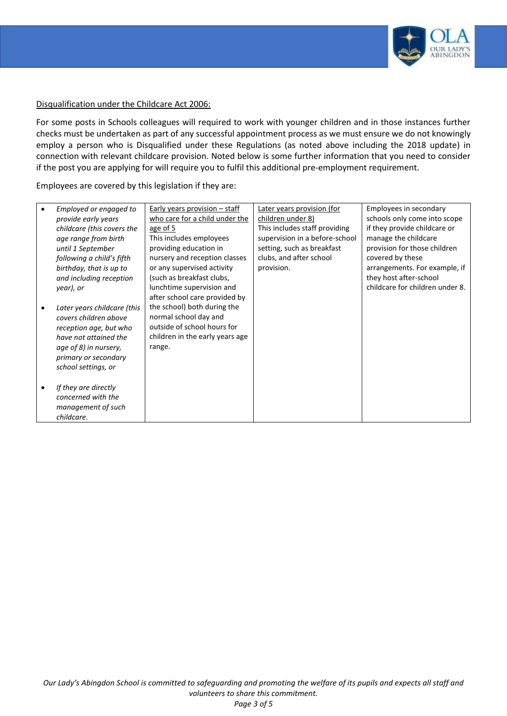

### Disqualification under the Childcare Act 2006:

For some posts in Schools colleagues will required to work with younger children and in those instances further checks must be undertaken as part of any successful appointment process as we must ensure we do not knowingly employ a person who is Disqualified under these Regulations (as noted above including the 2018 update) in connection with relevant childcare provision. Noted below is some further information that you need to consider if the post you are applying for will require you to fulfil this additional pre-employment requirement.

Employees are covered by this legislation if they are:

| Employed or engaged to<br>provide early years      | Early years provision $-$ staff<br>who care for a child under the | Later years provision (for<br>children under 8)                 | Employees in secondary<br>schools only come into scope |
|----------------------------------------------------|-------------------------------------------------------------------|-----------------------------------------------------------------|--------------------------------------------------------|
| childcare (this covers the<br>age range from birth | age of 5<br>This includes employees                               | This includes staff providing<br>supervision in a before-school | if they provide childcare or<br>manage the childcare   |
| until 1 September                                  | providing education in                                            | setting, such as breakfast                                      | provision for those children                           |
| following a child's fifth                          | nursery and reception classes                                     | clubs, and after school                                         | covered by these                                       |
| birthday, that is up to                            | or any supervised activity                                        | provision.                                                      | arrangements. For example, if                          |
| and including reception                            | (such as breakfast clubs,                                         |                                                                 | they host after-school                                 |
| year), or                                          | lunchtime supervision and                                         |                                                                 | childcare for children under 8.                        |
|                                                    | after school care provided by                                     |                                                                 |                                                        |
| Later years childcare (this                        | the school) both during the                                       |                                                                 |                                                        |
| covers children above                              | normal school day and<br>outside of school hours for              |                                                                 |                                                        |
| reception age, but who<br>have not attained the    | children in the early years age                                   |                                                                 |                                                        |
| age of 8) in nursery,                              | range.                                                            |                                                                 |                                                        |
| primary or secondary                               |                                                                   |                                                                 |                                                        |
| school settings, or                                |                                                                   |                                                                 |                                                        |
|                                                    |                                                                   |                                                                 |                                                        |
| If they are directly                               |                                                                   |                                                                 |                                                        |
| concerned with the                                 |                                                                   |                                                                 |                                                        |
| management of such                                 |                                                                   |                                                                 |                                                        |
| childcare.                                         |                                                                   |                                                                 |                                                        |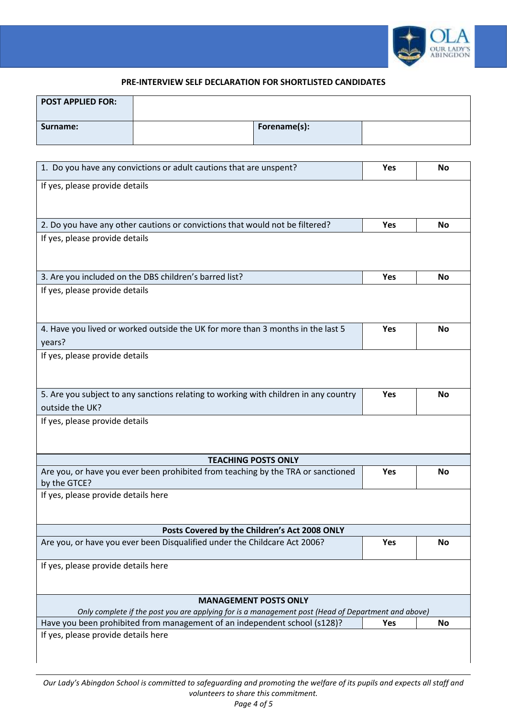

### **PRE-INTERVIEW SELF DECLARATION FOR SHORTLISTED CANDIDATES**

| <b>POST APPLIED FOR:</b> |              |  |
|--------------------------|--------------|--|
| Surname:                 | Forename(s): |  |

| 1. Do you have any convictions or adult cautions that are unspent?                                 | Yes | No        |
|----------------------------------------------------------------------------------------------------|-----|-----------|
| If yes, please provide details                                                                     |     |           |
|                                                                                                    |     |           |
| 2. Do you have any other cautions or convictions that would not be filtered?                       | Yes | <b>No</b> |
|                                                                                                    |     |           |
| If yes, please provide details                                                                     |     |           |
|                                                                                                    |     |           |
| 3. Are you included on the DBS children's barred list?                                             | Yes | <b>No</b> |
| If yes, please provide details                                                                     |     |           |
|                                                                                                    |     |           |
|                                                                                                    |     |           |
| 4. Have you lived or worked outside the UK for more than 3 months in the last 5                    | Yes | <b>No</b> |
| years?<br>If yes, please provide details                                                           |     |           |
|                                                                                                    |     |           |
|                                                                                                    |     |           |
| 5. Are you subject to any sanctions relating to working with children in any country               | Yes | <b>No</b> |
| outside the UK?                                                                                    |     |           |
| If yes, please provide details                                                                     |     |           |
|                                                                                                    |     |           |
| <b>TEACHING POSTS ONLY</b>                                                                         |     |           |
| Are you, or have you ever been prohibited from teaching by the TRA or sanctioned                   | Yes | <b>No</b> |
| by the GTCE?                                                                                       |     |           |
| If yes, please provide details here                                                                |     |           |
|                                                                                                    |     |           |
| Posts Covered by the Children's Act 2008 ONLY                                                      |     |           |
| Are you, or have you ever been Disqualified under the Childcare Act 2006?                          | Yes | No        |
|                                                                                                    |     |           |
| If yes, please provide details here                                                                |     |           |
|                                                                                                    |     |           |
| <b>MANAGEMENT POSTS ONLY</b>                                                                       |     |           |
| Only complete if the post you are applying for is a management post (Head of Department and above) |     |           |
| Have you been prohibited from management of an independent school (s128)?                          | Yes | No        |
| If yes, please provide details here                                                                |     |           |
|                                                                                                    |     |           |
|                                                                                                    |     |           |

*Our Lady's Abingdon School is committed to safeguarding and promoting the welfare of its pupils and expects all staff and volunteers to share this commitment.*